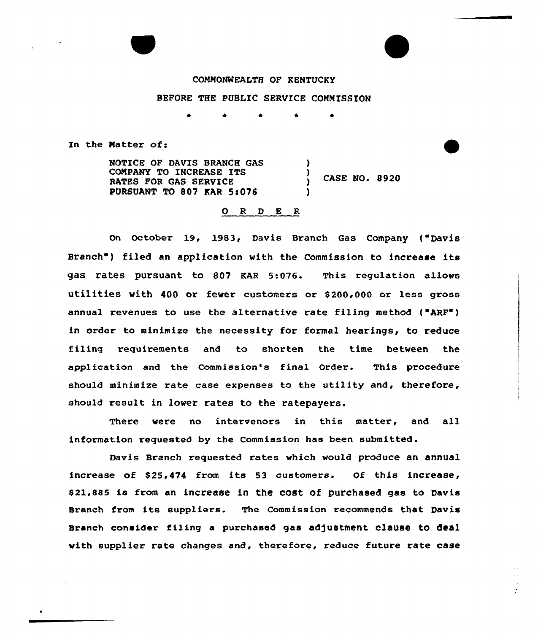

# COMMONWEALTH OF KENTUCKY

## BEFORE THE PUBLIC SERVICE COMMISSION

In the Matter of:

NOTICE OF DAVIS BRANCH GAS COMPANY TO 1NCREASE ITS RATES FOR GAS SERVICE PURSUANT TO 807 KAR 5:076 ) 3 CASE NO. 8920 )

## ORDER

on October 19, 1983, Davis Branch Gas Company ( Davis Branch") filed an application with the Commission to increase its gas rates pursuant to 807 EAR 5:076. This regulation allows utilities with 400 or fewer customers or 8200,000 or less gross annual revenues to use the alternative rate filing method ("ARF") in order to minimize the necessity for formal hearings, to reduce filing requirements and to shorten the time betveen the application and the Commission's final Order. This procedure should minimize rate case expenses to the utility and, therefore, should result in lower rates to the ratepayers.

There were no intervenors in this matter, and all information requested by the Commission has been submitted.

Davis Branch requested rates which would produce an annual increase of 825,474 from its 53 customers. Of this increase, 021,885 is from an increase in the cost of purchased gas to Davis Branch from its suppliers. The Commission recommends that Davis Branch consider filing a purchased gas adjustment clause to deal with supplier rate changes and, therefore, reduce future rate case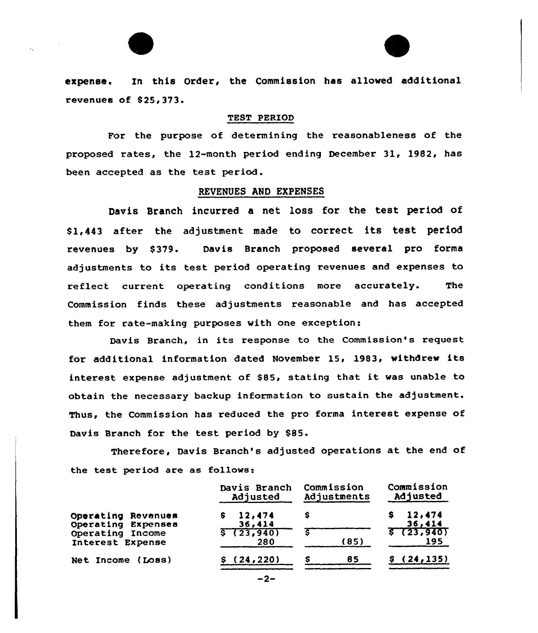

expenae. In this Order, the Commission has allowed additional revenues of \$ 25, 373.

#### TEST PERIOD

For the purpose of determining the reasonableness of the proposed rates, the 12-month period ending December 31, 1982, has been accepted as the test period.

### REVENUES AND EXPENSES

Davis Branch incurred a net loss for the test period of \$1,443 after the adjustment made to correct its test period revenues by \$379. Davis Branch proposed several pro forma adjustments tc its test period operating revenues and expenses to reflect current operating conditions more accurately. The Commission finds these adjustments reasonable and has accepted them for rate-making purposes with one exception:

Davis Branch, in its response to the Commission's request for additional information dated November 15, 1983, withdrew its interest expense adjustment of \$85, stating that it was unable to obtain the necessary backup information to sustain the adjustment. Thus, the Commission has reduced the pro forma interest expense of Davis Branch for the test period by \$85.

Therefore, Davis Branch's adjusted operations at the end of the test period are as follows:

|                    | Davis Branch | Commission  | Commission  |  |
|--------------------|--------------|-------------|-------------|--|
|                    | Adjusted     | Adjustments | Adjusted    |  |
| Operating Revenues | 12,474       | S           | 12,474      |  |
| Operating Expenses | 36,414       |             | 36,414      |  |
| Operating Income   | \$(23, 940)  | (85)        | 5723, 940   |  |
| Interest Expense   | 280          |             | 195         |  |
| Net Income (Loss)  | (24, 220)    | 85          | \$(24, 135) |  |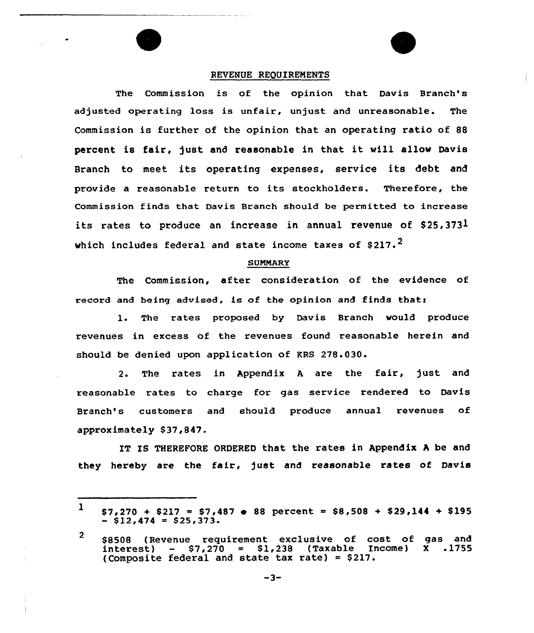### REVENUE REQUIREMENTS

The Commission is of the opinion that Davis Branch's adjusted operating loss is unfair, unjust and unreasonable. The Commission is further of the opinion that an operating ratio of 88 percent is fair, just and reasonable in that it will allow Davis Branch to meet its operating expenses, service its debt and provide <sup>a</sup> reasonable return to its stockholders. Therefore, the Commission finds that Davis Branch should be permitted to increase its rates to produce an increase in annual revenue of \$25,3731 which includes federal and state income taxes of  $$217.^2$ 

#### **SUMMARY**

The Commission, after consideration of the evidence of record and being advised, is of the opinion and finds that:

1. The rates proposed by Davis Branch would produce revenues in excess of the revenues found reasonable herein and should be denied upon application of KRS 278.030.

2. The rates in Appendix <sup>A</sup> are the fair, just and reasonable rates to charge for gas service rendered to Davis Branch's customers and should produce annual revenues of approximately \$37,847.

IT IS THEREFORE ORDERED that the rates in Appendix A be and they hereby are the fair, just and reasonable rates of Davis

 $1$  \$7,270 + \$217 = \$7,487  $\bullet$  88 percent = \$8,508 + \$29,144 + \$195  $-$  \$12,474 = \$25,373.

<sup>2</sup> \$8508 (Revenue requirement exclusive of cost of gas and<br>interest) - \$7,270 = \$1,238 (Taxable Income) X .1755  $-$  \$7,270 = \$1,238 (Taxable Income) (Composite federal and state tax rate) =  $$217.$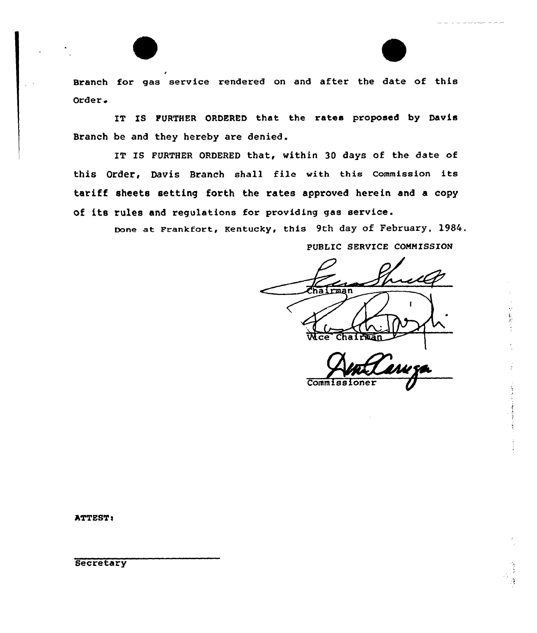Branch for gas service rendered on and after the date of this Order a

IT IS FURTHER ORDERED that the rates proposed by Davis Branch be and they hereby are denied.

IT IS FURTHER ORDERED that, within 30 days of the date of this Order, Davis Branch shall file with this Commission its tariff sheets setting forth the rates approved herein and a copy of its rules and regulations for providing gas service.

> Done at Frankfort, Kentucky, this 9th day of February, 1984. PUBLIC SERVICE COMMISSION

hairman Wice Chairman

Commiss:

ATTEST:

**Secretary**